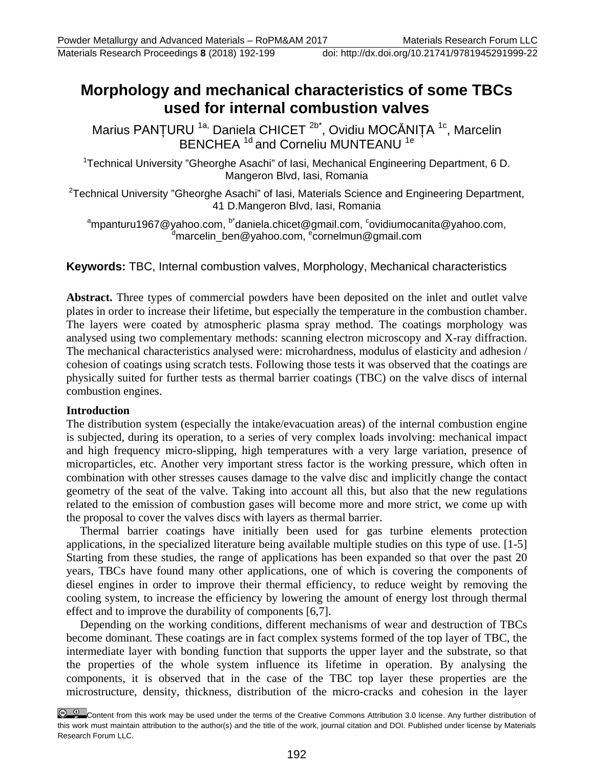# **Morphology and mechanical characteristics of some TBCs used for internal combustion valves**

Marius PANȚURU <sup>1a,</sup> Daniela CHICET <sup>2b\*</sup>, Ovidiu MOCĂNIȚA <sup>1c</sup>, Marcelin BENCHEA<sup>1d</sup> and Corneliu MUNTEANU<sup>1e</sup>

<sup>1</sup>Technical University "Gheorghe Asachi" of Iasi, Mechanical Engineering Department, 6 D. Mangeron Blvd, Iasi, Romania

<sup>2</sup>Technical University "Gheorghe Asachi" of Iasi, Materials Science and Engineering Department, 41 D.Mangeron Blvd, Iasi, Romania

<sup>a</sup>[mpanturu1967@yahoo.com,](mailto:ampanturu1967@yahoo.com) <sup>b\*</sup>daniela.chicet@gmail.com, <sup>c</sup>[ovidiumocanita@yahoo.com,](mailto:covidiumocanita@yahoo.com)<br>dmarcolin, bon@yahoo.com, <sup>e</sup>cornolmun@gmail.com [marcelin\\_ben@yahoo.com,](mailto:marcelin_ben@yahoo.com) <sup>e</sup>cornelmun@gmail.com

## **Keywords:** TBC, Internal combustion valves, Morphology, Mechanical characteristics

**Abstract.** Three types of commercial powders have been deposited on the inlet and outlet valve plates in order to increase their lifetime, but especially the temperature in the combustion chamber. The layers were coated by atmospheric plasma spray method. The coatings morphology was analysed using two complementary methods: scanning electron microscopy and X-ray diffraction. The mechanical characteristics analysed were: microhardness, modulus of elasticity and adhesion / cohesion of coatings using scratch tests. Following those tests it was observed that the coatings are physically suited for further tests as thermal barrier coatings (TBC) on the valve discs of internal combustion engines.

#### **Introduction**

The distribution system (especially the intake/evacuation areas) of the internal combustion engine is subjected, during its operation, to a series of very complex loads involving: mechanical impact and high frequency micro-slipping, high temperatures with a very large variation, presence of microparticles, etc. Another very important stress factor is the working pressure, which often in combination with other stresses causes damage to the valve disc and implicitly change the contact geometry of the seat of the valve. Taking into account all this, but also that the new regulations related to the emission of combustion gases will become more and more strict, we come up with the proposal to cover the valves discs with layers as thermal barrier.

Thermal barrier coatings have initially been used for gas turbine elements protection applications, in the specialized literature being available multiple studies on this type of use. [1-5] Starting from these studies, the range of applications has been expanded so that over the past 20 years, TBCs have found many other applications, one of which is covering the components of diesel engines in order to improve their thermal efficiency, to reduce weight by removing the cooling system, to increase the efficiency by lowering the amount of energy lost through thermal effect and to improve the durability of components [6,7].

Depending on the working conditions, different mechanisms of wear and destruction of TBCs become dominant. These coatings are in fact complex systems formed of the top layer of TBC, the intermediate layer with bonding function that supports the upper layer and the substrate, so that the properties of the whole system influence its lifetime in operation. By analysing the components, it is observed that in the case of the TBC top layer these properties are the microstructure, density, thickness, distribution of the micro-cracks and cohesion in the layer

Content from this work may be used under the terms of the Creative Commons Attribution 3.0 license. Any further distribution of this work must maintain attribution to the author(s) and the title of the work, journal citation and DOI. Published under license by Materials Research Forum LLC.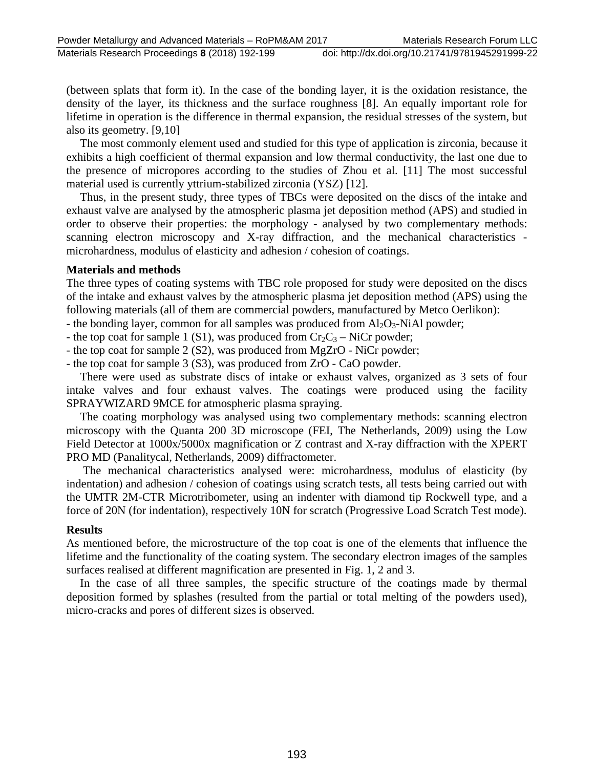Materials Research Proceedings **8** (2018) 192-199 doi: http://dx.doi.org/10.21741/9781945291999-22

(between splats that form it). In the case of the bonding layer, it is the oxidation resistance, the density of the layer, its thickness and the surface roughness [8]. An equally important role for lifetime in operation is the difference in thermal expansion, the residual stresses of the system, but also its geometry. [9,10]

The most commonly element used and studied for this type of application is zirconia, because it exhibits a high coefficient of thermal expansion and low thermal conductivity, the last one due to the presence of micropores according to the studies of Zhou et al. [11] The most successful material used is currently yttrium-stabilized zirconia (YSZ) [12].

Thus, in the present study, three types of TBCs were deposited on the discs of the intake and exhaust valve are analysed by the atmospheric plasma jet deposition method (APS) and studied in order to observe their properties: the morphology - analysed by two complementary methods: scanning electron microscopy and X-ray diffraction, and the mechanical characteristics microhardness, modulus of elasticity and adhesion / cohesion of coatings.

#### **Materials and methods**

The three types of coating systems with TBC role proposed for study were deposited on the discs of the intake and exhaust valves by the atmospheric plasma jet deposition method (APS) using the following materials (all of them are commercial powders, manufactured by Metco Oerlikon):

- the bonding layer, common for all samples was produced from  $Al_2O_3$ -NiAl powder;

- the top coat for sample 1 (S1), was produced from  $Cr_2C_3$  – NiCr powder;

- the top coat for sample 2 (S2), was produced from MgZrO - NiCr powder;

- the top coat for sample 3 (S3), was produced from ZrO - CaO powder.

There were used as substrate discs of intake or exhaust valves, organized as 3 sets of four intake valves and four exhaust valves. The coatings were produced using the facility SPRAYWIZARD 9MCE for atmospheric plasma spraying.

The coating morphology was analysed using two complementary methods: scanning electron microscopy with the Quanta 200 3D microscope (FEI, The Netherlands, 2009) using the Low Field Detector at 1000x/5000x magnification or Z contrast and X-ray diffraction with the XPERT PRO MD (Panalitycal, Netherlands, 2009) diffractometer.

The mechanical characteristics analysed were: microhardness, modulus of elasticity (by indentation) and adhesion / cohesion of coatings using scratch tests, all tests being carried out with the UMTR 2M-CTR Microtribometer, using an indenter with diamond tip Rockwell type, and a force of 20N (for indentation), respectively 10N for scratch (Progressive Load Scratch Test mode).

## **Results**

As mentioned before, the microstructure of the top coat is one of the elements that influence the lifetime and the functionality of the coating system. The secondary electron images of the samples surfaces realised at different magnification are presented in Fig. 1, 2 and 3.

In the case of all three samples, the specific structure of the coatings made by thermal deposition formed by splashes (resulted from the partial or total melting of the powders used), micro-cracks and pores of different sizes is observed.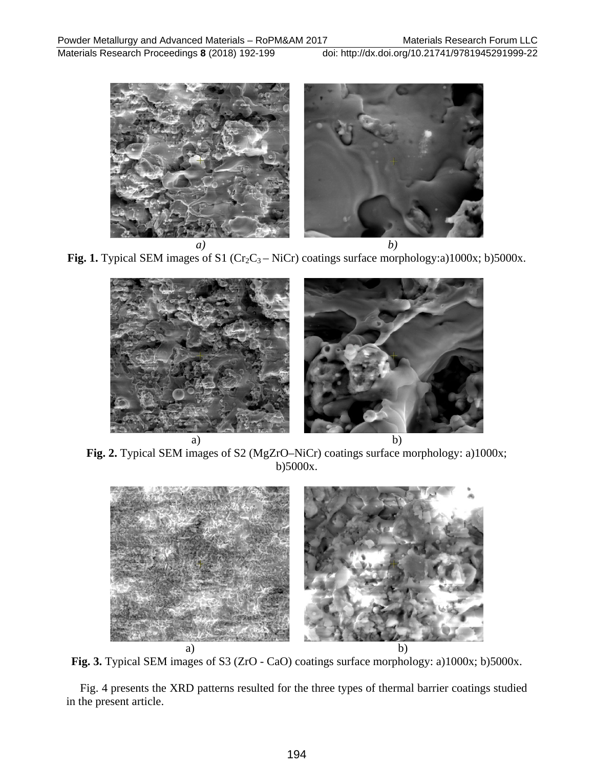Materials Research Proceedings **8** (2018) 192-199 doi: http://dx.doi.org/10.21741/9781945291999-22



**Fig. 1.** Typical SEM images of S1 ( $Cr_2C_3 - NiCr$ ) coatings surface morphology:a)1000x; b)5000x.



**Fig. 2.** Typical SEM images of S2 (MgZrO–NiCr) coatings surface morphology: a)1000x; b)5000x.



**Fig. 3.** Typical SEM images of S3 (ZrO - CaO) coatings surface morphology: a)1000x; b)5000x.

Fig. 4 presents the XRD patterns resulted for the three types of thermal barrier coatings studied in the present article.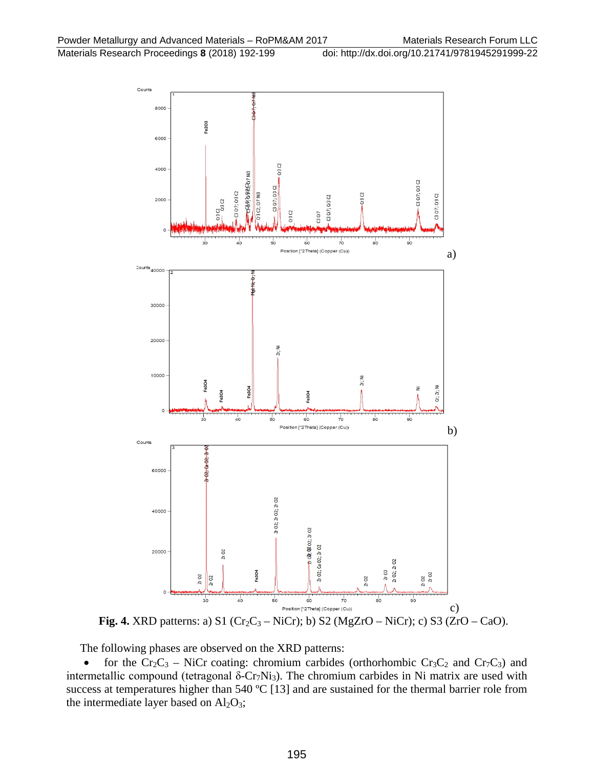

**Fig. 4.** XRD patterns: a) S1 ( $Cr_2C_3 - NiCr$ ); b) S2 (MgZrO – NiCr); c) S3 (ZrO – CaO).

The following phases are observed on the XRD patterns:

• for the Cr<sub>2</sub>C<sub>3</sub> – NiCr coating: chromium carbides (orthorhombic Cr<sub>3</sub>C<sub>2</sub> and Cr<sub>7</sub>C<sub>3</sub>) and intermetallic compound (tetragonal  $\delta$ -Cr<sub>7</sub>Ni<sub>3</sub>). The chromium carbides in Ni matrix are used with success at temperatures higher than 540 °C [13] and are sustained for the thermal barrier role from the intermediate layer based on  $Al_2O_3$ ;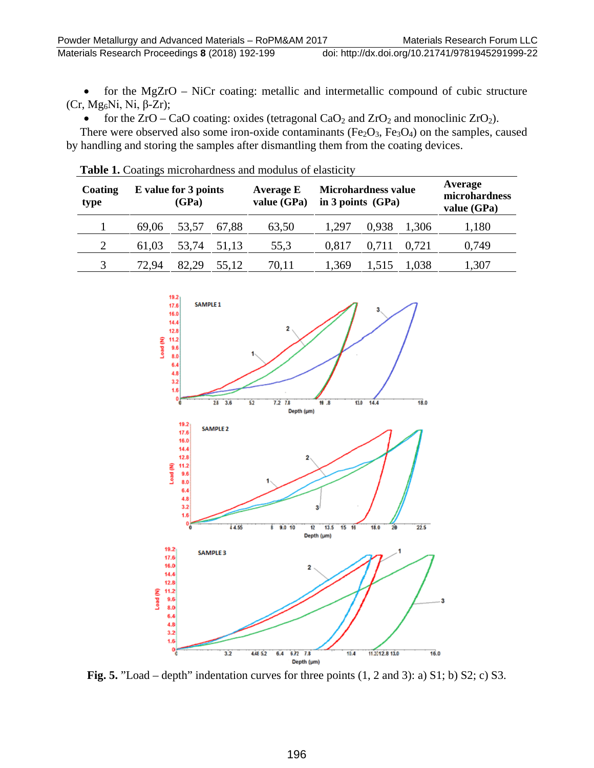• for the MgZrO – NiCr coating: metallic and intermetallic compound of cubic structure (Cr, Mg<sub>6</sub>Ni, Ni, β-Zr);

• for the  $ZrO - CaO$  coating: oxides (tetragonal  $CaO<sub>2</sub>$  and  $ZrO<sub>2</sub>$  and monoclinic  $ZrO<sub>2</sub>$ ).

There were observed also some iron-oxide contaminants ( $Fe<sub>2</sub>O<sub>3</sub>$ ,  $Fe<sub>3</sub>O<sub>4</sub>$ ) on the samples, caused by handling and storing the samples after dismantling them from the coating devices.

| Coating<br>type | E value for 3 points<br>(GPa) |       |       | Average E<br>value (GPa) | <b>Microhardness value</b><br>in 3 points $(GPa)$ |       |       | Average<br>microhardness<br>value (GPa) |
|-----------------|-------------------------------|-------|-------|--------------------------|---------------------------------------------------|-------|-------|-----------------------------------------|
|                 | 69,06                         | 53,57 | 67,88 | 63,50                    | 1,297                                             | 0.938 | 1,306 | 1,180                                   |
|                 | 61,03                         | 53,74 | 51,13 | 55.3                     | 0,817                                             | 0.711 | 0,721 | 0,749                                   |
|                 | 72.94                         | 82.29 | 55.12 | 70,11                    | 1.369                                             |       | 1.038 | 1,307                                   |

**Table 1.** Coatings microhardness and modulus of elasticity



**Fig. 5.** "Load – depth" indentation curves for three points (1, 2 and 3): a) S1; b) S2; c) S3.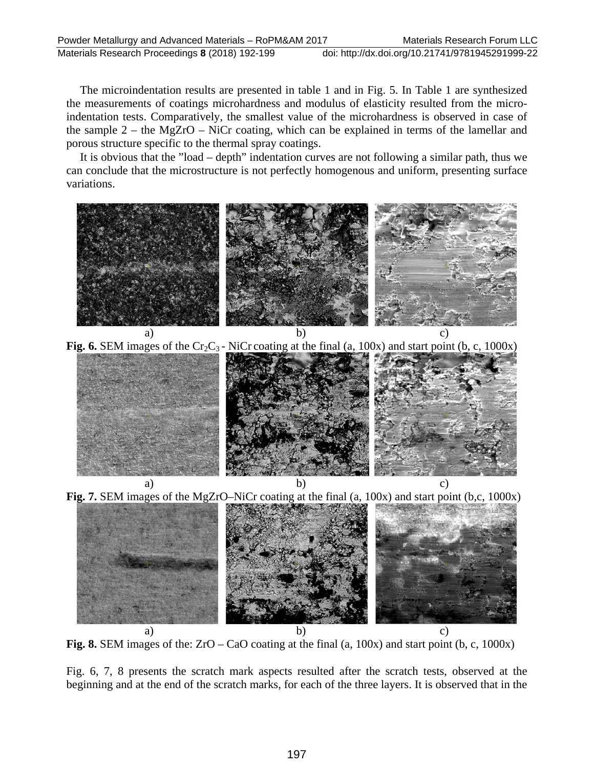Materials Research Proceedings **8** (2018) 192-199 doi: http://dx.doi.org/10.21741/9781945291999-22

The microindentation results are presented in table 1 and in Fig. 5. In Table 1 are synthesized the measurements of coatings microhardness and modulus of elasticity resulted from the microindentation tests. Comparatively, the smallest value of the microhardness is observed in case of the sample 2 – the MgZrO – NiCr coating, which can be explained in terms of the lamellar and porous structure specific to the thermal spray coatings.

It is obvious that the "load – depth" indentation curves are not following a similar path, thus we can conclude that the microstructure is not perfectly homogenous and uniform, presenting surface variations.





**Fig. 8.** SEM images of the: ZrO – CaO coating at the final (a, 100x) and start point (b, c, 1000x)

Fig. 6, 7, 8 presents the scratch mark aspects resulted after the scratch tests, observed at the beginning and at the end of the scratch marks, for each of the three layers. It is observed that in the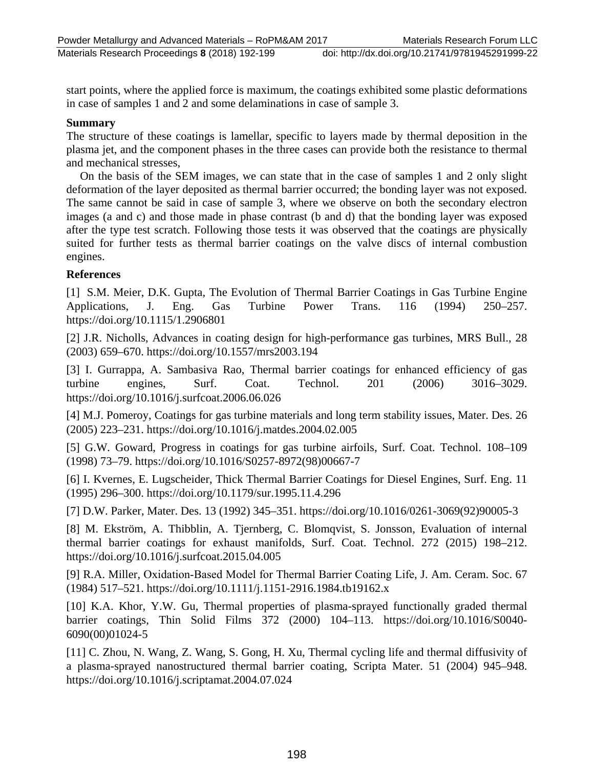start points, where the applied force is maximum, the coatings exhibited some plastic deformations in case of samples 1 and 2 and some delaminations in case of sample 3.

### **Summary**

The structure of these coatings is lamellar, specific to layers made by thermal deposition in the plasma jet, and the component phases in the three cases can provide both the resistance to thermal and mechanical stresses,

On the basis of the SEM images, we can state that in the case of samples 1 and 2 only slight deformation of the layer deposited as thermal barrier occurred; the bonding layer was not exposed. The same cannot be said in case of sample 3, where we observe on both the secondary electron images (a and c) and those made in phase contrast (b and d) that the bonding layer was exposed after the type test scratch. Following those tests it was observed that the coatings are physically suited for further tests as thermal barrier coatings on the valve discs of internal combustion engines.

## **References**

[1] S.M. Meier, D.K. Gupta, The Evolution of Thermal Barrier Coatings in Gas Turbine Engine Applications, J. Eng. Gas Turbine Power Trans. 116 (1994) 250–257. https://doi.org/10.1115/1.2906801

[2] J.R. Nicholls, Advances in coating design for high-performance gas turbines, MRS Bull., 28 (2003) 659–670. https://doi.org/10.1557/mrs2003.194

[3] I. Gurrappa, A. Sambasiva Rao, Thermal barrier coatings for enhanced efficiency of gas turbine engines, Surf. Coat. Technol. 201 (2006) 3016–3029. https://doi.org/10.1016/j.surfcoat.2006.06.026

[4] M.J. Pomeroy, Coatings for gas turbine materials and long term stability issues, Mater. Des. 26 (2005) 223–231. https://doi.org/10.1016/j.matdes.2004.02.005

[5] G.W. Goward, Progress in coatings for gas turbine airfoils, Surf. Coat. Technol. 108–109 (1998) 73–79. https://doi.org/10.1016/S0257-8972(98)00667-7

[6] I. Kvernes, E. Lugscheider, Thick Thermal Barrier Coatings for Diesel Engines, Surf. Eng. 11 (1995) 296–300. https://doi.org/10.1179/sur.1995.11.4.296

[7] D.W. Parker, Mater. Des. 13 (1992) 345–351. https://doi.org/10.1016/0261-3069(92)90005-3

[8] M. Ekström, A. Thibblin, A. Tjernberg, C. Blomqvist, S. Jonsson, Evaluation of internal thermal barrier coatings for exhaust manifolds, Surf. Coat. Technol. 272 (2015) 198–212. https://doi.org/10.1016/j.surfcoat.2015.04.005

[9] R.A. Miller, Oxidation‐Based Model for Thermal Barrier Coating Life, J. Am. Ceram. Soc. 67 (1984) 517–521. https://doi.org/10.1111/j.1151-2916.1984.tb19162.x

[10] K.A. Khor, Y.W. Gu, Thermal properties of plasma-sprayed functionally graded thermal barrier coatings, Thin Solid Films 372 (2000) 104–113. https://doi.org/10.1016/S0040- 6090(00)01024-5

[11] C. Zhou, N. Wang, Z. Wang, S. Gong, H. Xu, Thermal cycling life and thermal diffusivity of a plasma-sprayed nanostructured thermal barrier coating, Scripta Mater. 51 (2004) 945–948. https://doi.org/10.1016/j.scriptamat.2004.07.024